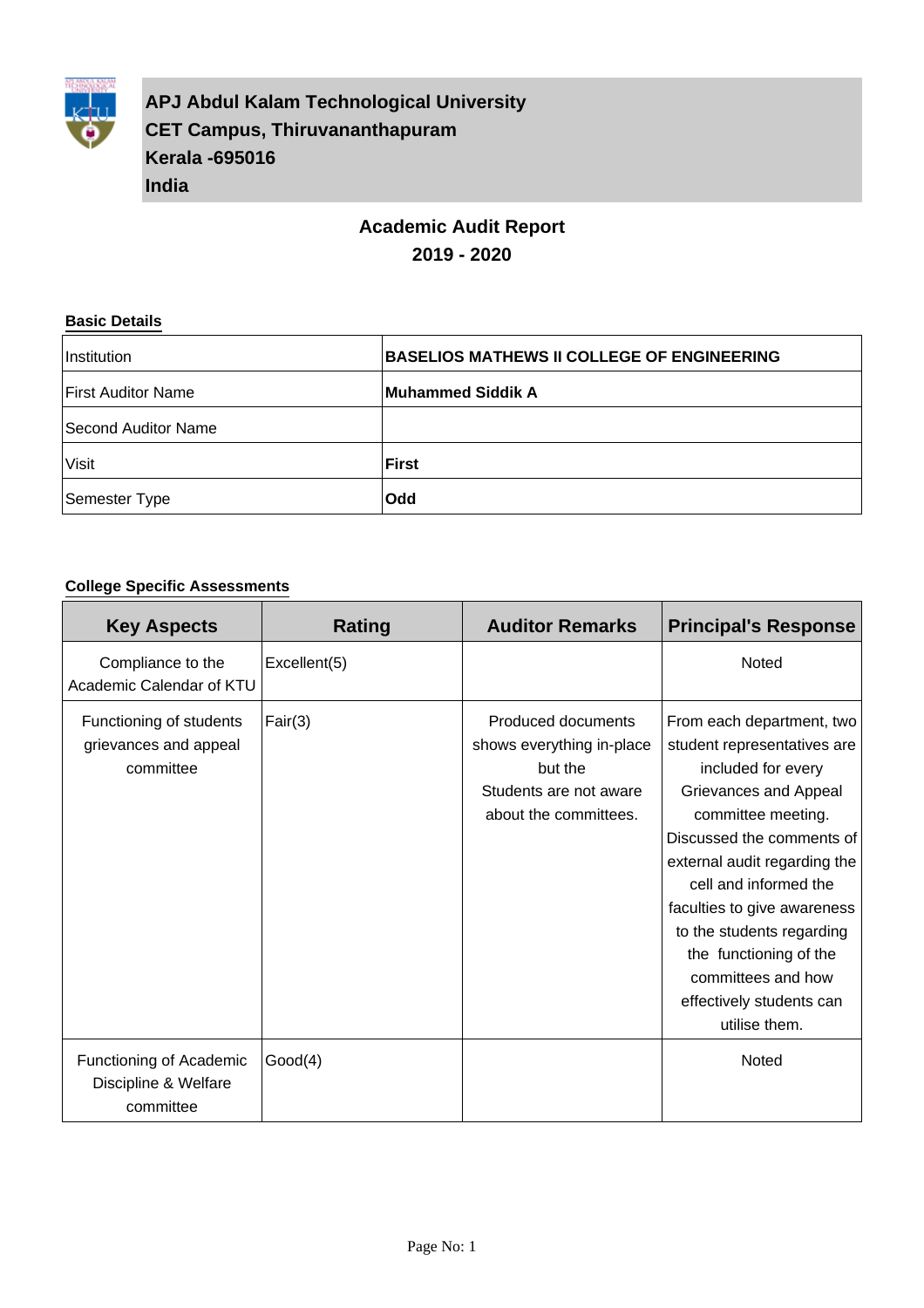

**APJ Abdul Kalam Technological University CET Campus, Thiruvananthapuram Kerala -695016 India**

# **Academic Audit Report 2019 - 2020**

#### **Basic Details**

| Institution               | <b>BASELIOS MATHEWS II COLLEGE OF ENGINEERING</b> |
|---------------------------|---------------------------------------------------|
| <b>First Auditor Name</b> | Muhammed Siddik A                                 |
| Second Auditor Name       |                                                   |
| <b>Visit</b>              | <b>First</b>                                      |
| Semester Type             | <b>Odd</b>                                        |

### **College Specific Assessments**

| <b>Key Aspects</b>                                            | Rating       | <b>Auditor Remarks</b>                                                                                        | <b>Principal's Response</b>                                                                                                                                                                                                                                                                                                                                                  |
|---------------------------------------------------------------|--------------|---------------------------------------------------------------------------------------------------------------|------------------------------------------------------------------------------------------------------------------------------------------------------------------------------------------------------------------------------------------------------------------------------------------------------------------------------------------------------------------------------|
| Compliance to the<br>Academic Calendar of KTU                 | Excellent(5) |                                                                                                               | Noted                                                                                                                                                                                                                                                                                                                                                                        |
| Functioning of students<br>grievances and appeal<br>committee | Fair(3)      | Produced documents<br>shows everything in-place<br>but the<br>Students are not aware<br>about the committees. | From each department, two<br>student representatives are<br>included for every<br>Grievances and Appeal<br>committee meeting.<br>Discussed the comments of<br>external audit regarding the<br>cell and informed the<br>faculties to give awareness<br>to the students regarding<br>the functioning of the<br>committees and how<br>effectively students can<br>utilise them. |
| Functioning of Academic<br>Discipline & Welfare<br>committee  | Good(4)      |                                                                                                               | Noted                                                                                                                                                                                                                                                                                                                                                                        |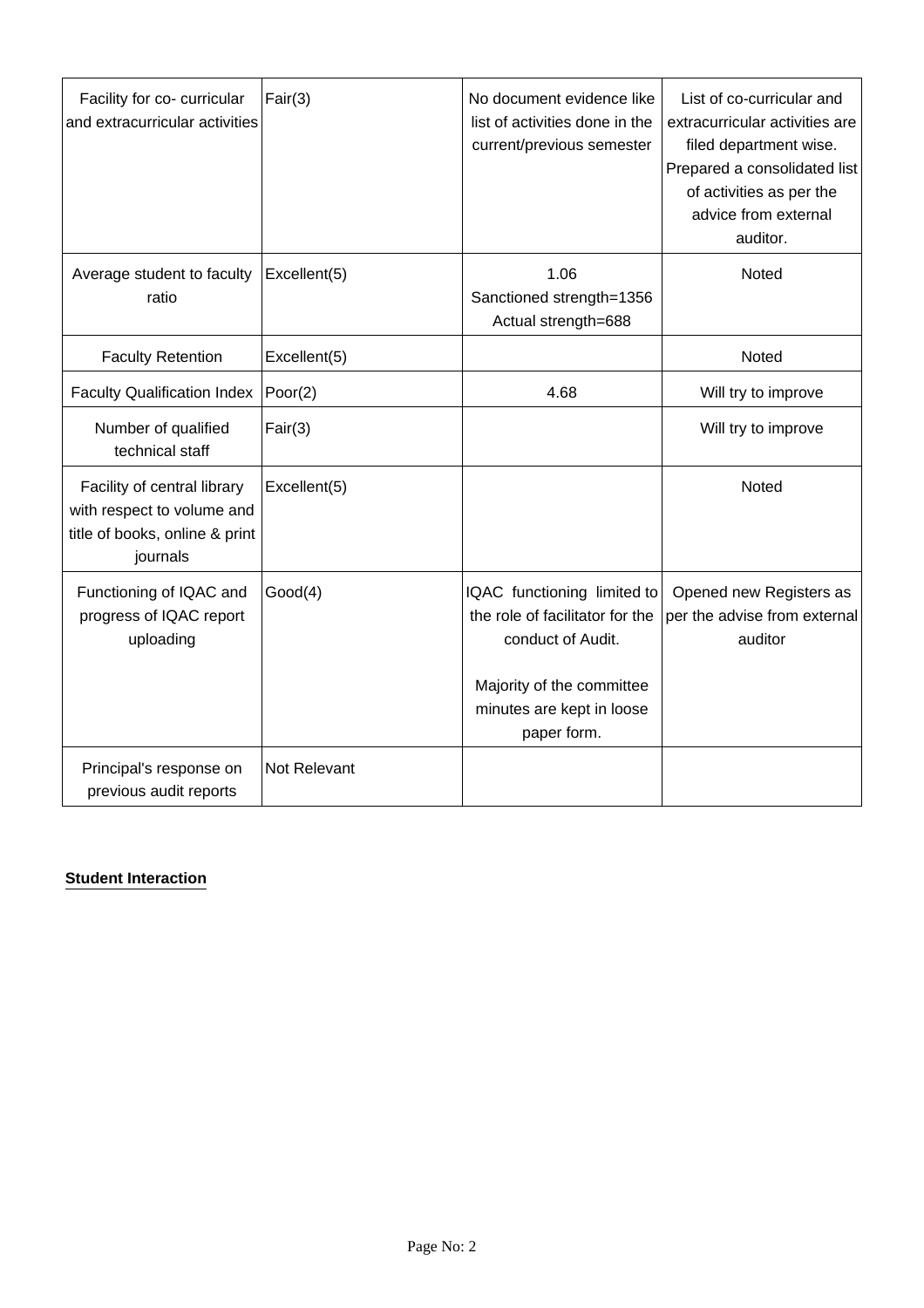| Facility for co- curricular<br>and extracurricular activities                                           | Fair(3)         | No document evidence like<br>list of activities done in the<br>current/previous semester                                                                     | List of co-curricular and<br>extracurricular activities are<br>filed department wise.<br>Prepared a consolidated list<br>of activities as per the<br>advice from external<br>auditor. |
|---------------------------------------------------------------------------------------------------------|-----------------|--------------------------------------------------------------------------------------------------------------------------------------------------------------|---------------------------------------------------------------------------------------------------------------------------------------------------------------------------------------|
| Average student to faculty<br>ratio                                                                     | Excellent(5)    | 1.06<br>Sanctioned strength=1356<br>Actual strength=688                                                                                                      | Noted                                                                                                                                                                                 |
| <b>Faculty Retention</b>                                                                                | Excellent(5)    |                                                                                                                                                              | Noted                                                                                                                                                                                 |
| <b>Faculty Qualification Index</b>                                                                      | $\vert$ Poor(2) | 4.68                                                                                                                                                         | Will try to improve                                                                                                                                                                   |
| Number of qualified<br>technical staff                                                                  | Fair(3)         |                                                                                                                                                              | Will try to improve                                                                                                                                                                   |
| Facility of central library<br>with respect to volume and<br>title of books, online & print<br>journals | Excellent(5)    |                                                                                                                                                              | Noted                                                                                                                                                                                 |
| Functioning of IQAC and<br>progress of IQAC report<br>uploading                                         | Good(4)         | IQAC functioning limited to<br>the role of facilitator for the<br>conduct of Audit.<br>Majority of the committee<br>minutes are kept in loose<br>paper form. | Opened new Registers as<br>per the advise from external<br>auditor                                                                                                                    |
| Principal's response on<br>previous audit reports                                                       | Not Relevant    |                                                                                                                                                              |                                                                                                                                                                                       |

### **Student Interaction**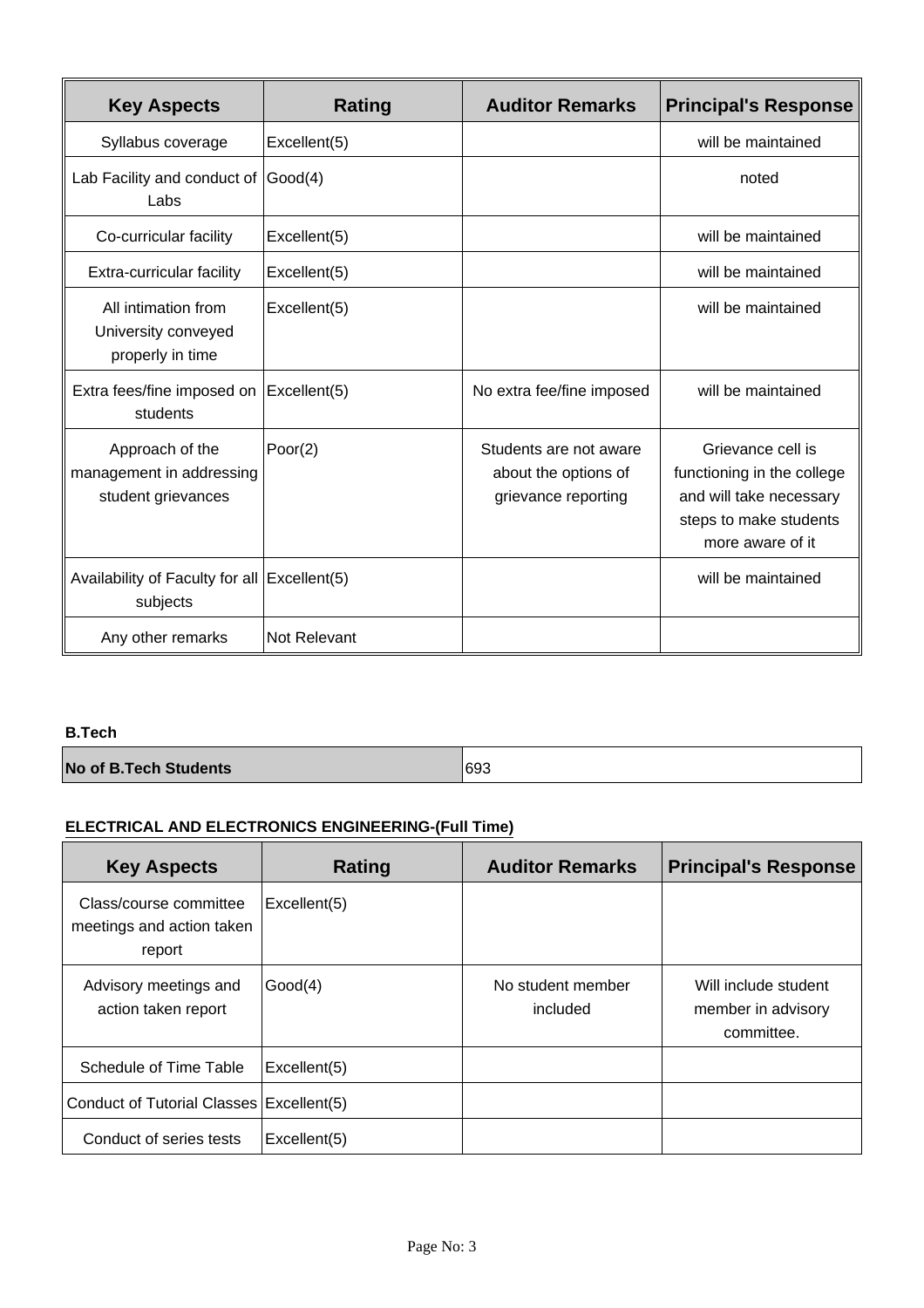| <b>Key Aspects</b>                                                | <b>Rating</b> | <b>Auditor Remarks</b>                                                | <b>Principal's Response</b>                                                                                              |
|-------------------------------------------------------------------|---------------|-----------------------------------------------------------------------|--------------------------------------------------------------------------------------------------------------------------|
| Syllabus coverage                                                 | Excellent(5)  |                                                                       | will be maintained                                                                                                       |
| Lab Facility and conduct of<br>Labs                               | Good(4)       |                                                                       | noted                                                                                                                    |
| Co-curricular facility                                            | Excellent(5)  |                                                                       | will be maintained                                                                                                       |
| Extra-curricular facility                                         | Excellent(5)  |                                                                       | will be maintained                                                                                                       |
| All intimation from<br>University conveyed<br>properly in time    | Excellent(5)  |                                                                       | will be maintained                                                                                                       |
| Extra fees/fine imposed on<br>students                            | Excellent(5)  | No extra fee/fine imposed                                             | will be maintained                                                                                                       |
| Approach of the<br>management in addressing<br>student grievances | Poor(2)       | Students are not aware<br>about the options of<br>grievance reporting | Grievance cell is<br>functioning in the college<br>and will take necessary<br>steps to make students<br>more aware of it |
| Availability of Faculty for all Excellent(5)<br>subjects          |               |                                                                       | will be maintained                                                                                                       |
| Any other remarks                                                 | Not Relevant  |                                                                       |                                                                                                                          |

#### **B.Tech**

**No of B.Tech Students 693** 

# **ELECTRICAL AND ELECTRONICS ENGINEERING-(Full Time)**

| <b>Key Aspects</b>                                            | Rating       | <b>Auditor Remarks</b>        | <b>Principal's Response</b>                              |
|---------------------------------------------------------------|--------------|-------------------------------|----------------------------------------------------------|
| Class/course committee<br>meetings and action taken<br>report | Excellent(5) |                               |                                                          |
| Advisory meetings and<br>action taken report                  | Good(4)      | No student member<br>included | Will include student<br>member in advisory<br>committee. |
| Schedule of Time Table                                        | Excellent(5) |                               |                                                          |
| Conduct of Tutorial Classes Excellent(5)                      |              |                               |                                                          |
| Conduct of series tests                                       | Excellent(5) |                               |                                                          |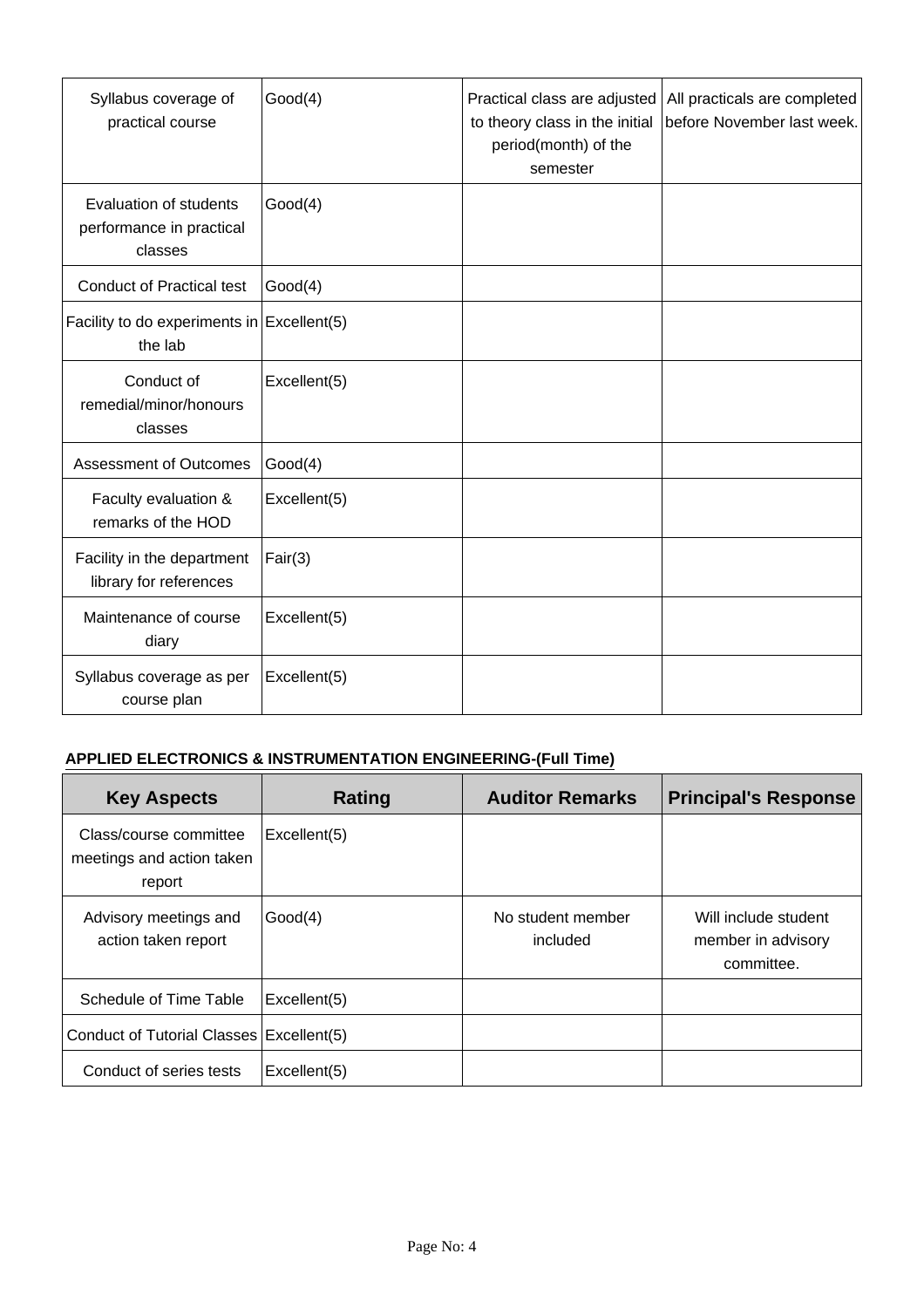| Syllabus coverage of<br>practical course                             | Good(4)      | Practical class are adjusted<br>to theory class in the initial<br>period(month) of the<br>semester | All practicals are completed<br>before November last week. |
|----------------------------------------------------------------------|--------------|----------------------------------------------------------------------------------------------------|------------------------------------------------------------|
| <b>Evaluation of students</b><br>performance in practical<br>classes | Good(4)      |                                                                                                    |                                                            |
| <b>Conduct of Practical test</b>                                     | Good(4)      |                                                                                                    |                                                            |
| Facility to do experiments in $\vert$ Excellent(5)<br>the lab        |              |                                                                                                    |                                                            |
| Conduct of<br>remedial/minor/honours<br>classes                      | Excellent(5) |                                                                                                    |                                                            |
| <b>Assessment of Outcomes</b>                                        | Good(4)      |                                                                                                    |                                                            |
| Faculty evaluation &<br>remarks of the HOD                           | Excellent(5) |                                                                                                    |                                                            |
| Facility in the department<br>library for references                 | Fair(3)      |                                                                                                    |                                                            |
| Maintenance of course<br>diary                                       | Excellent(5) |                                                                                                    |                                                            |
| Syllabus coverage as per<br>course plan                              | Excellent(5) |                                                                                                    |                                                            |

### **APPLIED ELECTRONICS & INSTRUMENTATION ENGINEERING-(Full Time)**

| <b>Key Aspects</b>                                            | Rating       | <b>Auditor Remarks</b>        | <b>Principal's Response</b>                              |
|---------------------------------------------------------------|--------------|-------------------------------|----------------------------------------------------------|
| Class/course committee<br>meetings and action taken<br>report | Excellent(5) |                               |                                                          |
| Advisory meetings and<br>action taken report                  | Good(4)      | No student member<br>included | Will include student<br>member in advisory<br>committee. |
| Schedule of Time Table                                        | Excellent(5) |                               |                                                          |
| Conduct of Tutorial Classes (Excellent(5)                     |              |                               |                                                          |
| Conduct of series tests                                       | Excellent(5) |                               |                                                          |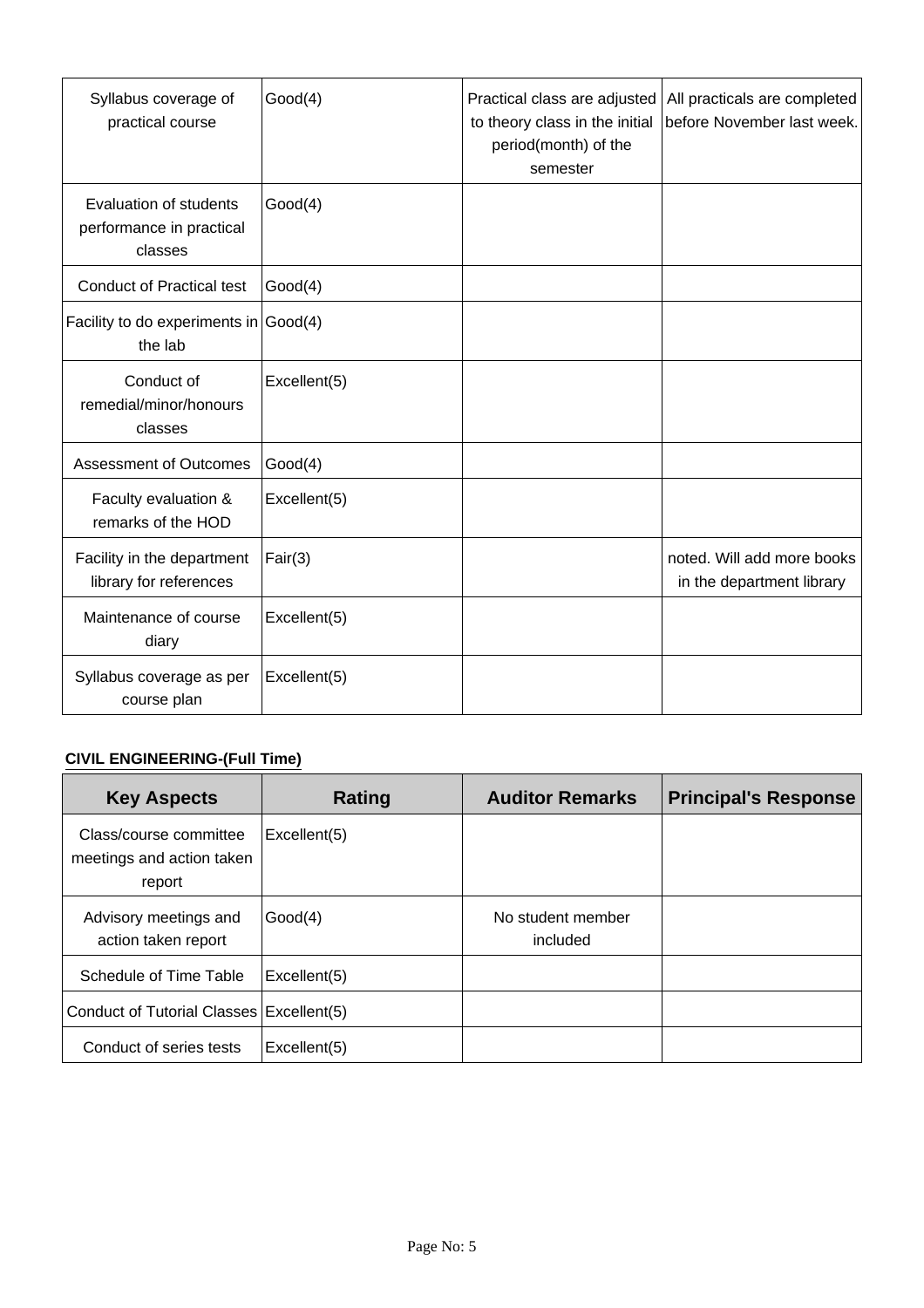| Syllabus coverage of<br>practical course                             | Good(4)      | Practical class are adjusted<br>to theory class in the initial<br>period(month) of the<br>semester | All practicals are completed<br>before November last week. |
|----------------------------------------------------------------------|--------------|----------------------------------------------------------------------------------------------------|------------------------------------------------------------|
| <b>Evaluation of students</b><br>performance in practical<br>classes | Good(4)      |                                                                                                    |                                                            |
| <b>Conduct of Practical test</b>                                     | Good(4)      |                                                                                                    |                                                            |
| Facility to do experiments in $\vert$ Good(4)<br>the lab             |              |                                                                                                    |                                                            |
| Conduct of<br>remedial/minor/honours<br>classes                      | Excellent(5) |                                                                                                    |                                                            |
| <b>Assessment of Outcomes</b>                                        | Good(4)      |                                                                                                    |                                                            |
| Faculty evaluation &<br>remarks of the HOD                           | Excellent(5) |                                                                                                    |                                                            |
| Facility in the department<br>library for references                 | Fair(3)      |                                                                                                    | noted. Will add more books<br>in the department library    |
| Maintenance of course<br>diary                                       | Excellent(5) |                                                                                                    |                                                            |
| Syllabus coverage as per<br>course plan                              | Excellent(5) |                                                                                                    |                                                            |

# **CIVIL ENGINEERING-(Full Time)**

| <b>Key Aspects</b>                                            | Rating       | <b>Auditor Remarks</b>        | <b>Principal's Response</b> |
|---------------------------------------------------------------|--------------|-------------------------------|-----------------------------|
| Class/course committee<br>meetings and action taken<br>report | Excellent(5) |                               |                             |
| Advisory meetings and<br>action taken report                  | Good(4)      | No student member<br>included |                             |
| Schedule of Time Table                                        | Excellent(5) |                               |                             |
| Conduct of Tutorial Classes (Excellent(5)                     |              |                               |                             |
| Conduct of series tests                                       | Excellent(5) |                               |                             |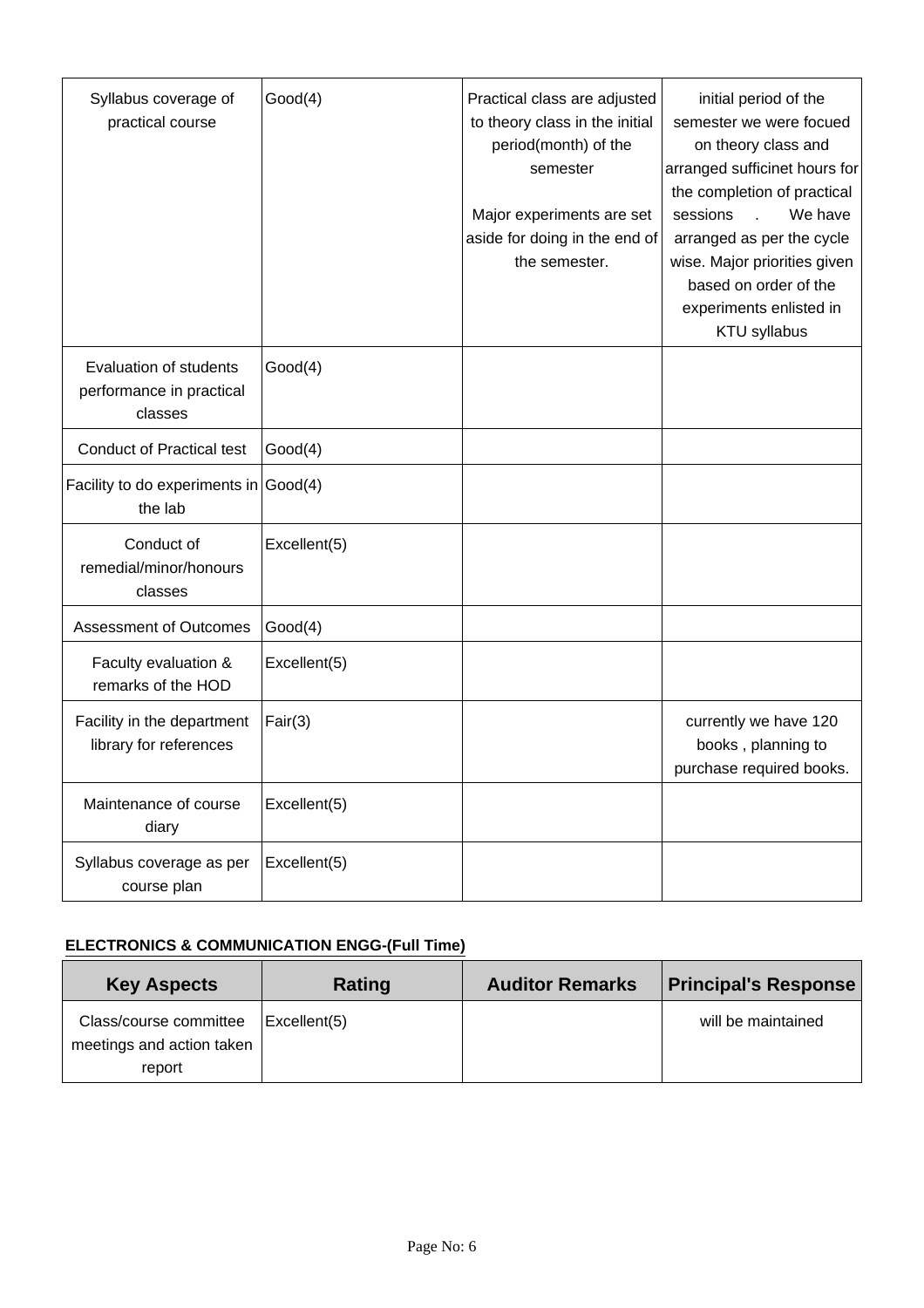| Syllabus coverage of<br>practical course                             | Good(4)      | Practical class are adjusted<br>to theory class in the initial<br>period(month) of the<br>semester<br>Major experiments are set<br>aside for doing in the end of<br>the semester. | initial period of the<br>semester we were focued<br>on theory class and<br>arranged sufficinet hours for<br>the completion of practical<br>We have<br>sessions<br>arranged as per the cycle<br>wise. Major priorities given<br>based on order of the<br>experiments enlisted in<br><b>KTU syllabus</b> |
|----------------------------------------------------------------------|--------------|-----------------------------------------------------------------------------------------------------------------------------------------------------------------------------------|--------------------------------------------------------------------------------------------------------------------------------------------------------------------------------------------------------------------------------------------------------------------------------------------------------|
| <b>Evaluation of students</b><br>performance in practical<br>classes | Good(4)      |                                                                                                                                                                                   |                                                                                                                                                                                                                                                                                                        |
| <b>Conduct of Practical test</b>                                     | Good(4)      |                                                                                                                                                                                   |                                                                                                                                                                                                                                                                                                        |
| Facility to do experiments in $\vert$ Good(4)<br>the lab             |              |                                                                                                                                                                                   |                                                                                                                                                                                                                                                                                                        |
| Conduct of<br>remedial/minor/honours<br>classes                      | Excellent(5) |                                                                                                                                                                                   |                                                                                                                                                                                                                                                                                                        |
| <b>Assessment of Outcomes</b>                                        | Good(4)      |                                                                                                                                                                                   |                                                                                                                                                                                                                                                                                                        |
| Faculty evaluation &<br>remarks of the HOD                           | Excellent(5) |                                                                                                                                                                                   |                                                                                                                                                                                                                                                                                                        |
| Facility in the department<br>library for references                 | Fair(3)      |                                                                                                                                                                                   | currently we have 120<br>books, planning to<br>purchase required books.                                                                                                                                                                                                                                |
| Maintenance of course<br>diary                                       | Excellent(5) |                                                                                                                                                                                   |                                                                                                                                                                                                                                                                                                        |
| Syllabus coverage as per<br>course plan                              | Excellent(5) |                                                                                                                                                                                   |                                                                                                                                                                                                                                                                                                        |

### **ELECTRONICS & COMMUNICATION ENGG-(Full Time)**

| <b>Key Aspects</b>                                  | Rating       | <b>Auditor Remarks</b> | <b>Principal's Response</b> |
|-----------------------------------------------------|--------------|------------------------|-----------------------------|
| Class/course committee<br>meetings and action taken | Excellent(5) |                        | will be maintained          |
| report                                              |              |                        |                             |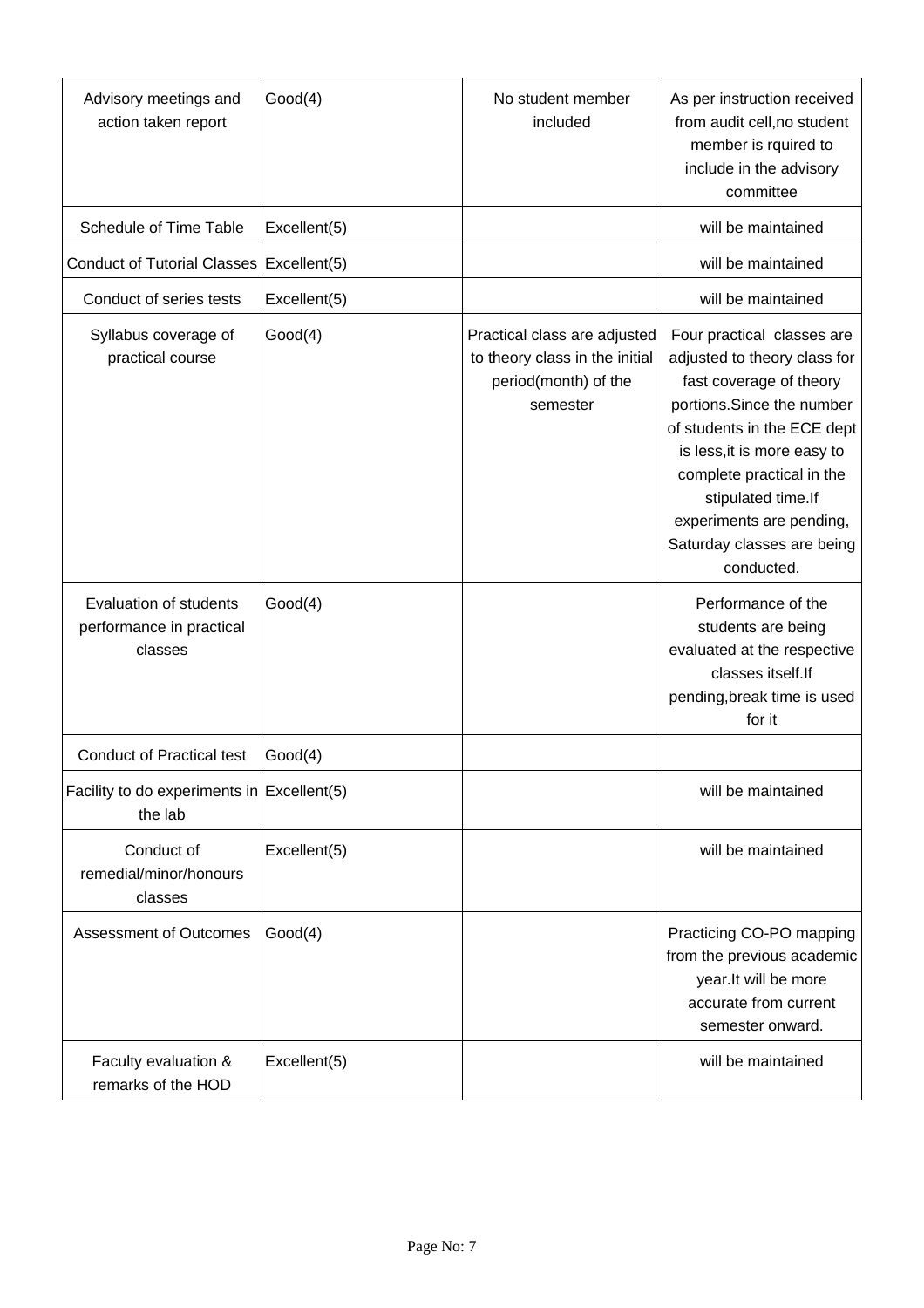| Advisory meetings and<br>action taken report                  | Good(4)      | No student member<br>included                                                                      | As per instruction received<br>from audit cell, no student<br>member is rquired to<br>include in the advisory<br>committee                                                                                                                                                                                   |
|---------------------------------------------------------------|--------------|----------------------------------------------------------------------------------------------------|--------------------------------------------------------------------------------------------------------------------------------------------------------------------------------------------------------------------------------------------------------------------------------------------------------------|
| Schedule of Time Table                                        | Excellent(5) |                                                                                                    | will be maintained                                                                                                                                                                                                                                                                                           |
| Conduct of Tutorial Classes   Excellent(5)                    |              |                                                                                                    | will be maintained                                                                                                                                                                                                                                                                                           |
| Conduct of series tests                                       | Excellent(5) |                                                                                                    | will be maintained                                                                                                                                                                                                                                                                                           |
| Syllabus coverage of<br>practical course                      | Good(4)      | Practical class are adjusted<br>to theory class in the initial<br>period(month) of the<br>semester | Four practical classes are<br>adjusted to theory class for<br>fast coverage of theory<br>portions. Since the number<br>of students in the ECE dept<br>is less, it is more easy to<br>complete practical in the<br>stipulated time.If<br>experiments are pending,<br>Saturday classes are being<br>conducted. |
| Evaluation of students<br>performance in practical<br>classes | Good(4)      |                                                                                                    | Performance of the<br>students are being<br>evaluated at the respective<br>classes itself.If<br>pending, break time is used<br>for it                                                                                                                                                                        |
| <b>Conduct of Practical test</b>                              | Good(4)      |                                                                                                    |                                                                                                                                                                                                                                                                                                              |
| Facility to do experiments in $\vert$ Excellent(5)<br>the lab |              |                                                                                                    | will be maintained                                                                                                                                                                                                                                                                                           |
| Conduct of<br>remedial/minor/honours<br>classes               | Excellent(5) |                                                                                                    | will be maintained                                                                                                                                                                                                                                                                                           |
| <b>Assessment of Outcomes</b>                                 | Good(4)      |                                                                                                    | Practicing CO-PO mapping<br>from the previous academic<br>year.It will be more<br>accurate from current<br>semester onward.                                                                                                                                                                                  |
| Faculty evaluation &<br>remarks of the HOD                    | Excellent(5) |                                                                                                    | will be maintained                                                                                                                                                                                                                                                                                           |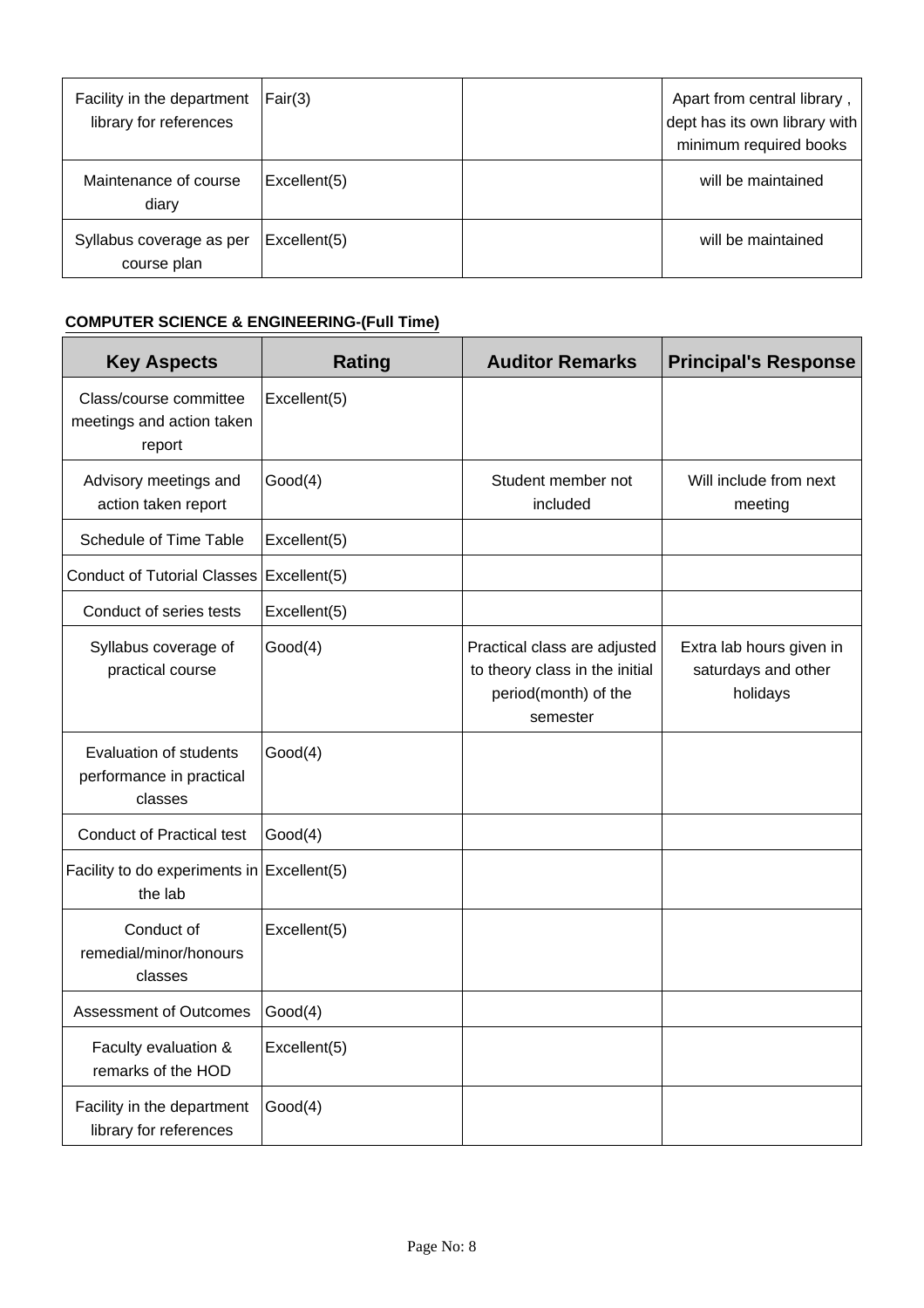| Facility in the department<br>library for references | Fair(3)      | Apart from central library,<br>dept has its own library with<br>minimum required books |
|------------------------------------------------------|--------------|----------------------------------------------------------------------------------------|
| Maintenance of course<br>diary                       | Excellent(5) | will be maintained                                                                     |
| Syllabus coverage as per<br>course plan              | Excellent(5) | will be maintained                                                                     |

# **COMPUTER SCIENCE & ENGINEERING-(Full Time)**

| <b>Key Aspects</b>                                            | <b>Rating</b> | <b>Auditor Remarks</b>                                                                             | <b>Principal's Response</b>                                 |
|---------------------------------------------------------------|---------------|----------------------------------------------------------------------------------------------------|-------------------------------------------------------------|
| Class/course committee<br>meetings and action taken<br>report | Excellent(5)  |                                                                                                    |                                                             |
| Advisory meetings and<br>action taken report                  | Good(4)       | Student member not<br>included                                                                     | Will include from next<br>meeting                           |
| Schedule of Time Table                                        | Excellent(5)  |                                                                                                    |                                                             |
| <b>Conduct of Tutorial Classes</b>                            | Excellent(5)  |                                                                                                    |                                                             |
| Conduct of series tests                                       | Excellent(5)  |                                                                                                    |                                                             |
| Syllabus coverage of<br>practical course                      | Good(4)       | Practical class are adjusted<br>to theory class in the initial<br>period(month) of the<br>semester | Extra lab hours given in<br>saturdays and other<br>holidays |
| Evaluation of students<br>performance in practical<br>classes | Good(4)       |                                                                                                    |                                                             |
| <b>Conduct of Practical test</b>                              | Good(4)       |                                                                                                    |                                                             |
| Facility to do experiments in $\vert$ Excellent(5)<br>the lab |               |                                                                                                    |                                                             |
| Conduct of<br>remedial/minor/honours<br>classes               | Excellent(5)  |                                                                                                    |                                                             |
| <b>Assessment of Outcomes</b>                                 | Good(4)       |                                                                                                    |                                                             |
| Faculty evaluation &<br>remarks of the HOD                    | Excellent(5)  |                                                                                                    |                                                             |
| Facility in the department<br>library for references          | Good(4)       |                                                                                                    |                                                             |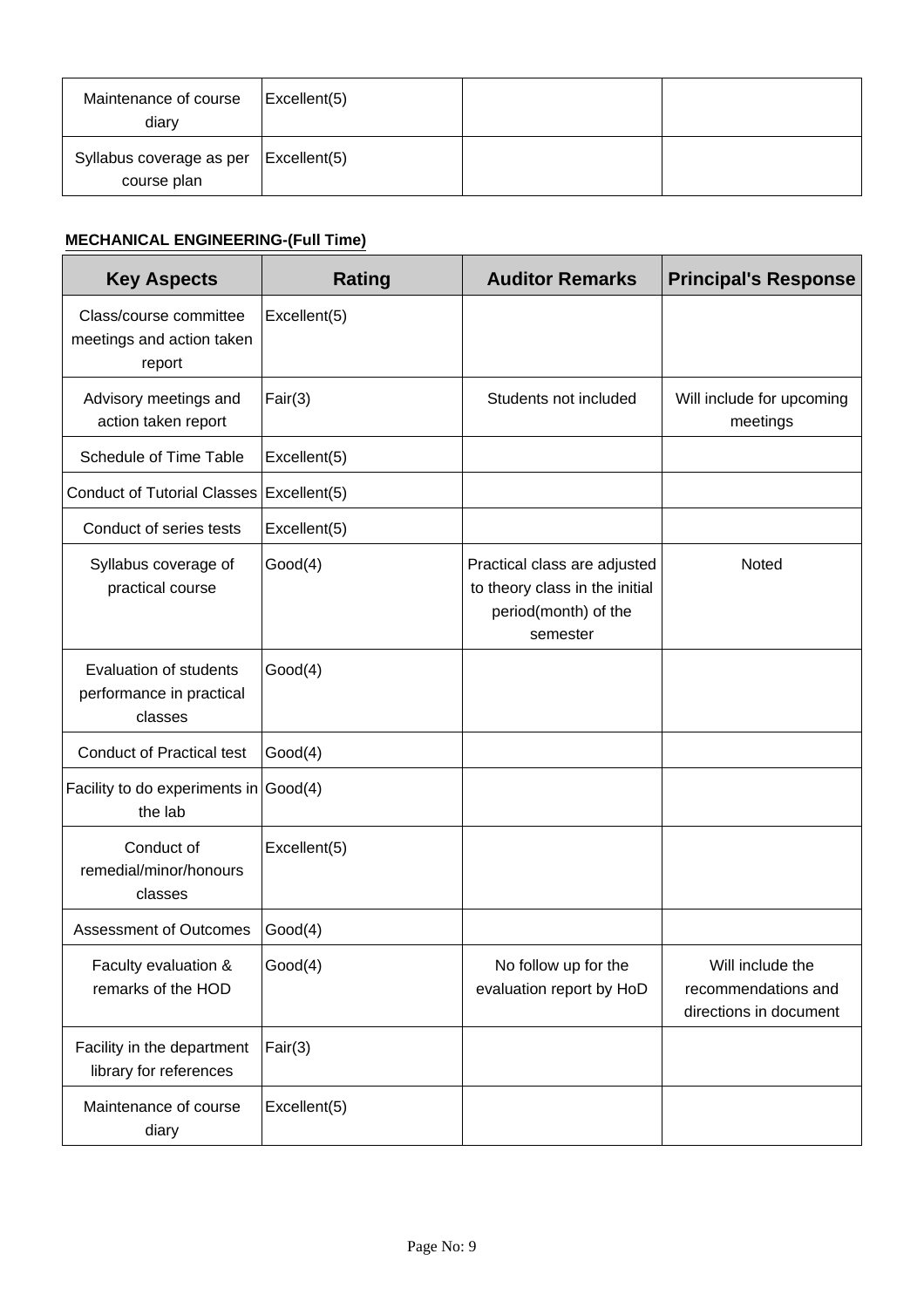| Maintenance of course<br>diary          | $\vert$ Excellent(5) |  |
|-----------------------------------------|----------------------|--|
| Syllabus coverage as per<br>course plan | $\vert$ Excellent(5) |  |

# **MECHANICAL ENGINEERING-(Full Time)**

| <b>Key Aspects</b>                                                   | Rating       | <b>Auditor Remarks</b>                                                                             | <b>Principal's Response</b>                                       |
|----------------------------------------------------------------------|--------------|----------------------------------------------------------------------------------------------------|-------------------------------------------------------------------|
| Class/course committee<br>meetings and action taken<br>report        | Excellent(5) |                                                                                                    |                                                                   |
| Advisory meetings and<br>action taken report                         | Fair(3)      | Students not included                                                                              | Will include for upcoming<br>meetings                             |
| Schedule of Time Table                                               | Excellent(5) |                                                                                                    |                                                                   |
| Conduct of Tutorial Classes   Excellent(5)                           |              |                                                                                                    |                                                                   |
| Conduct of series tests                                              | Excellent(5) |                                                                                                    |                                                                   |
| Syllabus coverage of<br>practical course                             | Good(4)      | Practical class are adjusted<br>to theory class in the initial<br>period(month) of the<br>semester | Noted                                                             |
| <b>Evaluation of students</b><br>performance in practical<br>classes | Good(4)      |                                                                                                    |                                                                   |
| <b>Conduct of Practical test</b>                                     | Good(4)      |                                                                                                    |                                                                   |
| Facility to do experiments in $\vert$ Good(4)<br>the lab             |              |                                                                                                    |                                                                   |
| Conduct of<br>remedial/minor/honours<br>classes                      | Excellent(5) |                                                                                                    |                                                                   |
| <b>Assessment of Outcomes</b>                                        | Good(4)      |                                                                                                    |                                                                   |
| Faculty evaluation &<br>remarks of the HOD                           | Good(4)      | No follow up for the<br>evaluation report by HoD                                                   | Will include the<br>recommendations and<br>directions in document |
| Facility in the department<br>library for references                 | Fair(3)      |                                                                                                    |                                                                   |
| Maintenance of course<br>diary                                       | Excellent(5) |                                                                                                    |                                                                   |